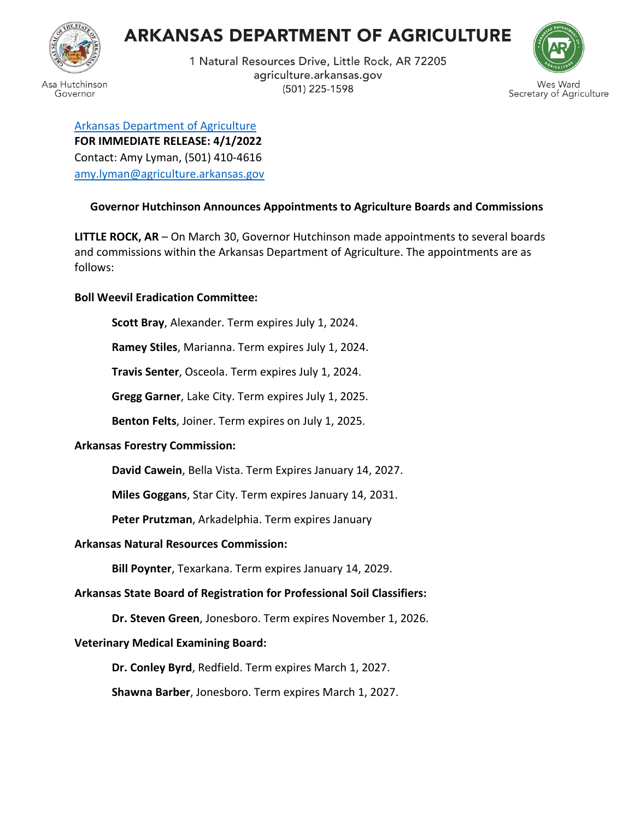# **ARKANSAS DEPARTMENT OF AGRICULTURE**



1 Natural Resources Drive, Little Rock, AR 72205 agriculture.arkansas.gov (501) 225-1598



[Arkansas Department of Agriculture](https://www.aad.arkansas.gov/) **FOR IMMEDIATE RELEASE: 4/1/2022** Contact: Amy Lyman, (501) 410-4616 [amy.lyman@agriculture.arkansas.gov](mailto:amy.lyman@agriculture.arkansas.gov)

## **Governor Hutchinson Announces Appointments to Agriculture Boards and Commissions**

**LITTLE ROCK, AR** – On March 30, Governor Hutchinson made appointments to several boards and commissions within the Arkansas Department of Agriculture. The appointments are as follows:

## **Boll Weevil Eradication Committee:**

**Scott Bray**, Alexander. Term expires July 1, 2024.

**Ramey Stiles**, Marianna. Term expires July 1, 2024.

**Travis Senter**, Osceola. Term expires July 1, 2024.

**Gregg Garner**, Lake City. Term expires July 1, 2025.

**Benton Felts**, Joiner. Term expires on July 1, 2025.

#### **Arkansas Forestry Commission:**

**David Cawein**, Bella Vista. Term Expires January 14, 2027.

**Miles Goggans**, Star City. Term expires January 14, 2031.

**Peter Prutzman**, Arkadelphia. Term expires January

#### **Arkansas Natural Resources Commission:**

**Bill Poynter**, Texarkana. Term expires January 14, 2029.

# **Arkansas State Board of Registration for Professional Soil Classifiers:**

**Dr. Steven Green**, Jonesboro. Term expires November 1, 2026.

# **Veterinary Medical Examining Board:**

**Dr. Conley Byrd**, Redfield. Term expires March 1, 2027.

**Shawna Barber**, Jonesboro. Term expires March 1, 2027.